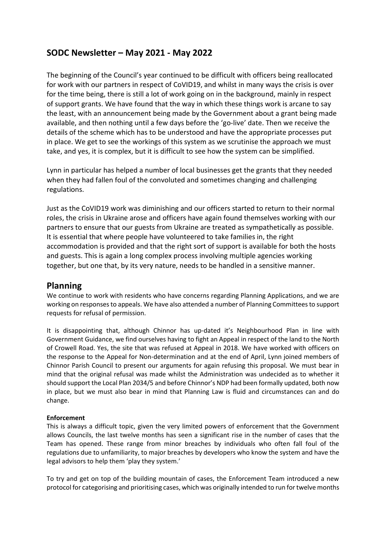# **SODC Newsletter – May 2021 - May 2022**

The beginning of the Council's year continued to be difficult with officers being reallocated for work with our partners in respect of CoVID19, and whilst in many ways the crisis is over for the time being, there is still a lot of work going on in the background, mainly in respect of support grants. We have found that the way in which these things work is arcane to say the least, with an announcement being made by the Government about a grant being made available, and then nothing until a few days before the 'go-live' date. Then we receive the details of the scheme which has to be understood and have the appropriate processes put in place. We get to see the workings of this system as we scrutinise the approach we must take, and yes, it is complex, but it is difficult to see how the system can be simplified.

Lynn in particular has helped a number of local businesses get the grants that they needed when they had fallen foul of the convoluted and sometimes changing and challenging regulations.

Just as the CoVID19 work was diminishing and our officers started to return to their normal roles, the crisis in Ukraine arose and officers have again found themselves working with our partners to ensure that our guests from Ukraine are treated as sympathetically as possible. It is essential that where people have volunteered to take families in, the right accommodation is provided and that the right sort of support is available for both the hosts and guests. This is again a long complex process involving multiple agencies working together, but one that, by its very nature, needs to be handled in a sensitive manner.

## **Planning**

We continue to work with residents who have concerns regarding Planning Applications, and we are working on responses to appeals. We have also attended a number of Planning Committees to support requests for refusal of permission.

It is disappointing that, although Chinnor has up-dated it's Neighbourhood Plan in line with Government Guidance, we find ourselves having to fight an Appeal in respect of the land to the North of Crowell Road. Yes, the site that was refused at Appeal in 2018. We have worked with officers on the response to the Appeal for Non-determination and at the end of April, Lynn joined members of Chinnor Parish Council to present our arguments for again refusing this proposal. We must bear in mind that the original refusal was made whilst the Administration was undecided as to whether it should support the Local Plan 2034/5 and before Chinnor's NDP had been formally updated, both now in place, but we must also bear in mind that Planning Law is fluid and circumstances can and do change.

#### **Enforcement**

This is always a difficult topic, given the very limited powers of enforcement that the Government allows Councils, the last twelve months has seen a significant rise in the number of cases that the Team has opened. These range from minor breaches by individuals who often fall foul of the regulations due to unfamiliarity, to major breaches by developers who know the system and have the legal advisors to help them 'play they system.'

To try and get on top of the building mountain of cases, the Enforcement Team introduced a new protocol for categorising and prioritising cases, which was originally intended to run for twelve months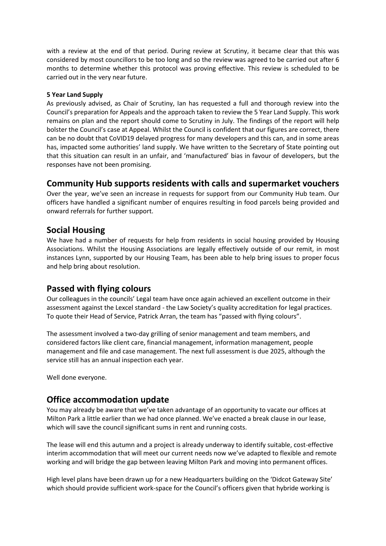with a review at the end of that period. During review at Scrutiny, it became clear that this was considered by most councillors to be too long and so the review was agreed to be carried out after 6 months to determine whether this protocol was proving effective. This review is scheduled to be carried out in the very near future.

#### **5 Year Land Supply**

As previously advised, as Chair of Scrutiny, Ian has requested a full and thorough review into the Council's preparation for Appeals and the approach taken to review the 5 Year Land Supply. This work remains on plan and the report should come to Scrutiny in July. The findings of the report will help bolster the Council's case at Appeal. Whilst the Council is confident that our figures are correct, there can be no doubt that CoVID19 delayed progress for many developers and this can, and in some areas has, impacted some authorities' land supply. We have written to the Secretary of State pointing out that this situation can result in an unfair, and 'manufactured' bias in favour of developers, but the responses have not been promising.

### **Community Hub supports residents with calls and supermarket vouchers**

Over the year, we've seen an increase in requests for support from our Community Hub team. Our officers have handled a significant number of enquires resulting in food parcels being provided and onward referrals for further support.

## **Social Housing**

We have had a number of requests for help from residents in social housing provided by Housing Associations. Whilst the Housing Associations are legally effectively outside of our remit, in most instances Lynn, supported by our Housing Team, has been able to help bring issues to proper focus and help bring about resolution.

## **Passed with flying colours**

Our colleagues in the councils' Legal team have once again achieved an excellent outcome in their assessment against the Lexcel standard - the Law Society's quality accreditation for legal practices. To quote their Head of Service, Patrick Arran, the team has "passed with flying colours".

The assessment involved a two-day grilling of senior management and team members, and considered factors like client care, financial management, information management, people management and file and case management. The next full assessment is due 2025, although the service still has an annual inspection each year.

Well done everyone.

## **Office accommodation update**

You may already be aware that we've taken advantage of an opportunity to vacate our offices at Milton Park a little earlier than we had once planned. We've enacted a break clause in our lease, which will save the council significant sums in rent and running costs.

The lease will end this autumn and a project is already underway to identify suitable, cost-effective interim accommodation that will meet our current needs now we've adapted to flexible and remote working and will bridge the gap between leaving Milton Park and moving into permanent offices.

High level plans have been drawn up for a new Headquarters building on the 'Didcot Gateway Site' which should provide sufficient work-space for the Council's officers given that hybride working is